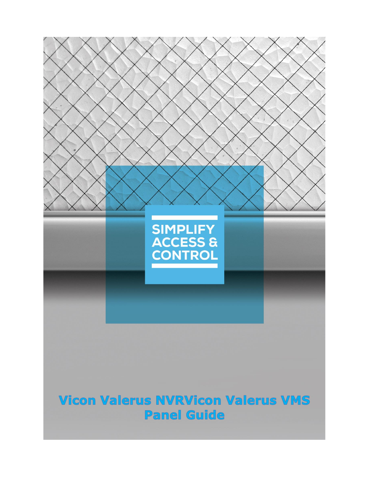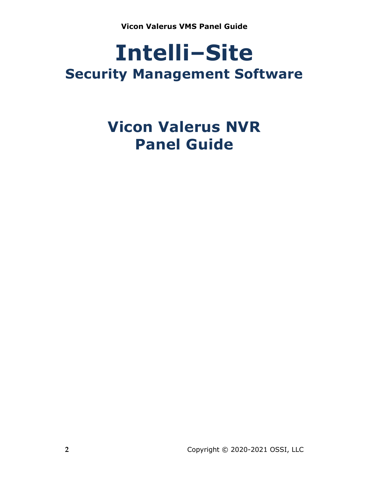# **Intelli‒Site Security Management Software**

# **Vicon Valerus NVR Panel Guide**

**2** Copyright © 2020-2021 OSSI, LLC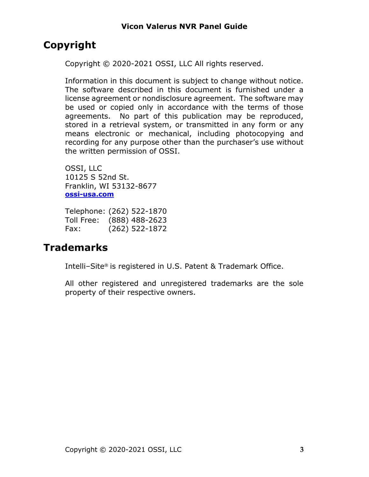# <span id="page-2-0"></span>**Copyright**

Copyright © 2020-2021 OSSI, LLC All rights reserved.

Information in this document is subject to change without notice. The software described in this document is furnished under a license agreement or nondisclosure agreement. The software may be used or copied only in accordance with the terms of those agreements. No part of this publication may be reproduced, stored in a retrieval system, or transmitted in any form or any means electronic or mechanical, including photocopying and recording for any purpose other than the purchaser's use without the written permission of OSSI.

OSSI, LLC 10125 S 52nd St. Franklin, WI 53132-8677 **[ossi-usa.com](http://ossi-usa.com/)**

Telephone: (262) 522-1870 Toll Free: (888) 488-2623 Fax: (262) 522-1872

# <span id="page-2-1"></span>**Trademarks**

Intelli–Site® is registered in U.S. Patent & Trademark Office.

All other registered and unregistered trademarks are the sole property of their respective owners.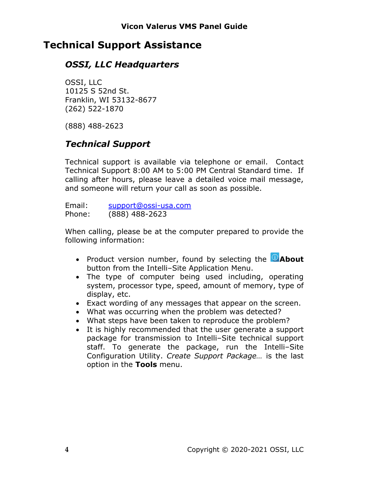# <span id="page-3-0"></span>**Technical Support Assistance**

## *OSSI, LLC Headquarters*

OSSI, LLC 10125 S 52nd St. Franklin, WI 53132-8677 (262) 522-1870

(888) 488-2623

# *Technical Support*

Technical support is available via telephone or email. Contact Technical Support 8:00 AM to 5:00 PM Central Standard time. If calling after hours, please leave a detailed voice mail message, and someone will return your call as soon as possible.

Email: [support@ossi-usa.com](mailto:support@ossi-usa.com) Phone: (888) 488-2623

When calling, please be at the computer prepared to provide the following information:

- Product version number, found by selecting the **CAbout** button from the Intelli-Site Application Menu.
- The type of computer being used including, operating system, processor type, speed, amount of memory, type of display, etc.
- Exact wording of any messages that appear on the screen.
- What was occurring when the problem was detected?
- What steps have been taken to reproduce the problem?
- It is highly recommended that the user generate a support package for transmission to Intelli-Site technical support staff. To generate the package, run the Intelli-Site Configuration Utility. *Create Support Package…* is the last option in the **Tools** menu.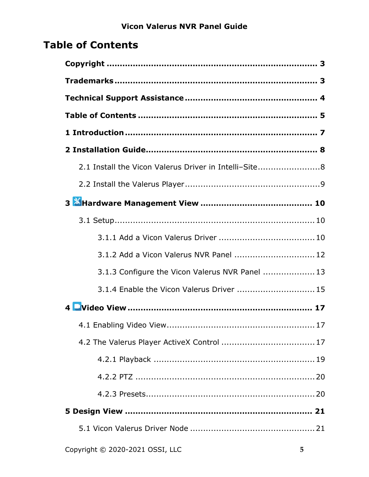# <span id="page-4-0"></span>**Table of Contents**

| 2.1 Install the Vicon Valerus Driver in Intelli-Site8 |
|-------------------------------------------------------|
|                                                       |
|                                                       |
|                                                       |
|                                                       |
| 3.1.2 Add a Vicon Valerus NVR Panel  12               |
| 3.1.3 Configure the Vicon Valerus NVR Panel  13       |
| 3.1.4 Enable the Vicon Valerus Driver  15             |
|                                                       |
|                                                       |
|                                                       |
|                                                       |
|                                                       |
|                                                       |
|                                                       |
|                                                       |
|                                                       |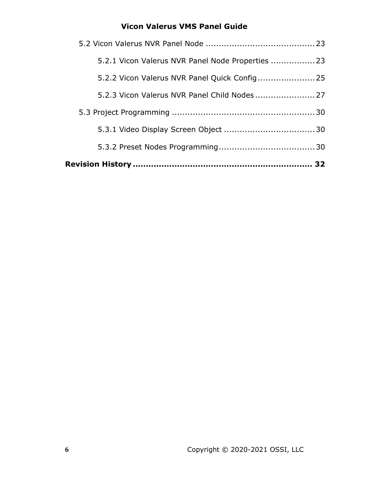| 5.2.3 Vicon Valerus NVR Panel Child Nodes 27      |  |
|---------------------------------------------------|--|
| 5.2.2 Vicon Valerus NVR Panel Quick Config 25     |  |
| 5.2.1 Vicon Valerus NVR Panel Node Properties  23 |  |
|                                                   |  |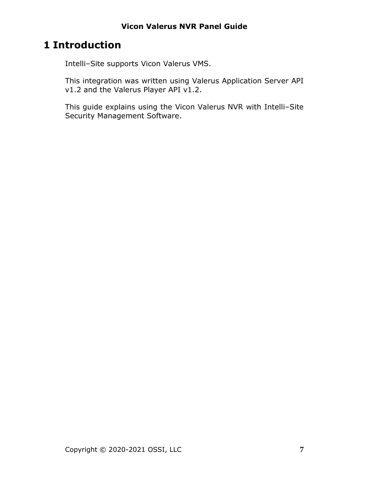# <span id="page-6-0"></span>**1 Introduction**

Intelli-Site supports Vicon Valerus VMS.

This integration was written using Valerus Application Server API v1.2 and the Valerus Player API v1.2.

This guide explains using the Vicon Valerus NVR with Intelli-Site Security Management Software.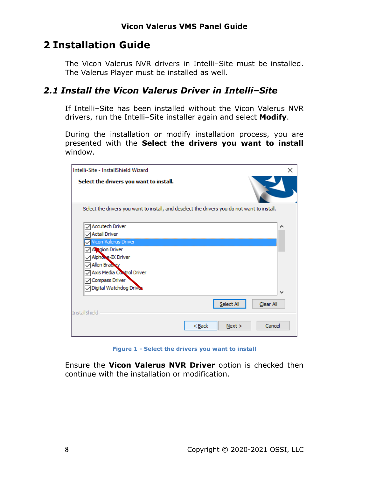# <span id="page-7-0"></span>**2 Installation Guide**

The Vicon Valerus NVR drivers in Intelli-Site must be installed. The Valerus Player must be installed as well.

## <span id="page-7-1"></span>*2.1 Install the Vicon Valerus Driver in Intelli‒Site*

If Intelli-Site has been installed without the Vicon Valerus NVR drivers, run the Intelli-Site installer again and select Modify.

During the installation or modify installation process, you are presented with the **Select the drivers you want to install** window.

| Intelli-Site - InstallShield Wizard                                                                                           | × |
|-------------------------------------------------------------------------------------------------------------------------------|---|
| Select the drivers you want to install.                                                                                       |   |
| Select the drivers you want to install, and deselect the drivers you do not want to install.                                  |   |
| <b>Accutech Driver</b><br><b>Actall Driver</b><br>Vicon Valerus Driver<br>A gion Driver<br>Aiphone-IX Driver<br>Allen Brackey |   |
| Axis Media Control Driver<br>Compass Driver<br>Digital Watchdog Driver<br>Select All<br>Clear All<br><b>InstallShield</b>     | v |
| Cancel<br>< <u>B</u> ack<br>Next >                                                                                            |   |

**Figure 1 - Select the drivers you want to install**

Ensure the **Vicon Valerus NVR Driver** option is checked then continue with the installation or modification.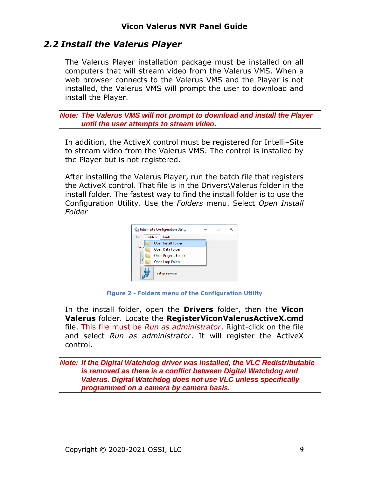## <span id="page-8-0"></span>*2.2 Install the Valerus Player*

The Valerus Player installation package must be installed on all computers that will stream video from the Valerus VMS. When a web browser connects to the Valerus VMS and the Player is not installed, the Valerus VMS will prompt the user to download and install the Player.

*Note: The Valerus VMS will not prompt to download and install the Player until the user attempts to stream video.*

In addition, the ActiveX control must be registered for Intelli-Site to stream video from the Valerus VMS. The control is installed by the Player but is not registered.

After installing the Valerus Player, run the batch file that registers the ActiveX control. That file is in the Drivers\Valerus folder in the install folder. The fastest way to find the install folder is to use the Configuration Utility. Use the *Folders* menu. Select *Open Install Folder*



**Figure 2 - Folders menu of the Configuration Utility**

In the install folder, open the **Drivers** folder, then the **Vicon Valerus** folder. Locate the **RegisterViconValerusActiveX.cmd** file. This file must be *Run as administrator*. Right-click on the file and select *Run as administrator*. It will register the ActiveX control.

*Note: If the Digital Watchdog driver was installed, the VLC Redistributable is removed as there is a conflict between Digital Watchdog and Valerus. Digital Watchdog does not use VLC unless specifically programmed on a camera by camera basis.*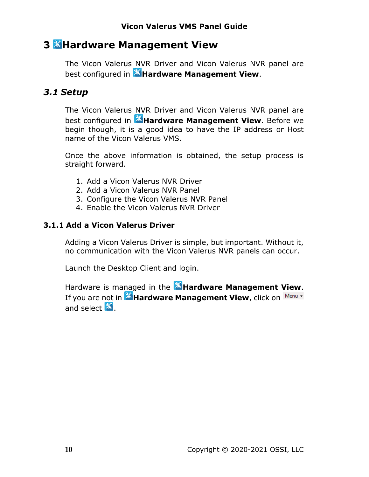# <span id="page-9-0"></span>**3 Hardware Management View**

The Vicon Valerus NVR Driver and Vicon Valerus NVR panel are best configured in **Hardware Management View**.

## <span id="page-9-1"></span>*3.1 Setup*

The Vicon Valerus NVR Driver and Vicon Valerus NVR panel are best configured in **Hardware Management View**. Before we begin though, it is a good idea to have the IP address or Host name of the Vicon Valerus VMS.

Once the above information is obtained, the setup process is straight forward.

- 1. Add a Vicon Valerus NVR Driver
- 2. Add a Vicon Valerus NVR Panel
- 3. Configure the Vicon Valerus NVR Panel
- 4. Enable the Vicon Valerus NVR Driver

## <span id="page-9-2"></span>**3.1.1 Add a Vicon Valerus Driver**

Adding a Vicon Valerus Driver is simple, but important. Without it, no communication with the Vicon Valerus NVR panels can occur.

Launch the Desktop Client and login.

Hardware is managed in the **Altardware Management View**. If you are not in **Hardware Management View**, click on Menu  $\cdot$ and select  $\mathbb{X}$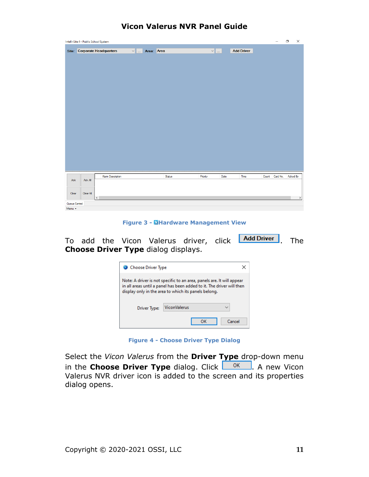| <b>Vicon Valerus NVR Panel Guide</b> |  |
|--------------------------------------|--|
|--------------------------------------|--|

|                         | Intelli-Site 4 - Public School System |                              |               |        |                    |      |                   |       | $\qquad \qquad -$ | $\Box$   | $\times$ |
|-------------------------|---------------------------------------|------------------------------|---------------|--------|--------------------|------|-------------------|-------|-------------------|----------|----------|
|                         |                                       | Site: Corporate Headquarters | v  Area: Area |        | $\vee$ $\parallel$ |      | <b>Add Driver</b> |       |                   |          |          |
|                         |                                       |                              |               |        |                    |      |                   |       |                   |          |          |
|                         |                                       |                              |               |        |                    |      |                   |       |                   |          |          |
|                         |                                       |                              |               |        |                    |      |                   |       |                   |          |          |
|                         |                                       |                              |               |        |                    |      |                   |       |                   |          |          |
|                         |                                       |                              |               |        |                    |      |                   |       |                   |          |          |
|                         |                                       |                              |               |        |                    |      |                   |       |                   |          |          |
|                         |                                       |                              |               |        |                    |      |                   |       |                   |          |          |
|                         |                                       |                              |               |        |                    |      |                   |       |                   |          |          |
|                         |                                       |                              |               |        |                    |      |                   |       |                   |          |          |
|                         |                                       |                              |               |        |                    |      |                   |       |                   |          |          |
|                         |                                       |                              |               |        |                    |      |                   |       |                   |          |          |
|                         |                                       |                              |               |        |                    |      |                   |       |                   |          |          |
|                         |                                       |                              |               |        |                    |      |                   |       |                   |          |          |
| Ack                     | Ack All                               | <b>Alarm Description</b>     |               | Status | Priority           | Date | Time              | Count | Card No.          | Acked By |          |
|                         |                                       |                              |               |        |                    |      |                   |       |                   |          |          |
| Clear                   | Clear All                             | $\langle$                    |               |        |                    |      |                   |       |                   |          | $\,$     |
| Queue Control<br>Menu - |                                       |                              |               |        |                    |      |                   |       |                   |          |          |

**Figure 3 - Hardware Management View**

To add the Vicon Valerus driver, click **Add Driver** The **Choose Driver Type** dialog displays.

| Choose Driver Type                                                                                                                                                                                     |              |  |  |  |  |  |  |  |
|--------------------------------------------------------------------------------------------------------------------------------------------------------------------------------------------------------|--------------|--|--|--|--|--|--|--|
| Note: A driver is not specific to an area, panels are. It will appear<br>in all areas until a panel has been added to it. The driver will then<br>display only in the area to which its panels belong. |              |  |  |  |  |  |  |  |
| <b>ViconValerus</b><br>$\checkmark$<br>Driver Type:                                                                                                                                                    |              |  |  |  |  |  |  |  |
|                                                                                                                                                                                                        | Cancel<br>ок |  |  |  |  |  |  |  |

**Figure 4 - Choose Driver Type Dialog**

Select the *Vicon Valerus* from the **Driver Type** drop-down menu in the **Choose Driver Type** dialog. Click  $\frac{OK}{A}$ . A new Vicon Valerus NVR driver icon is added to the screen and its properties dialog opens.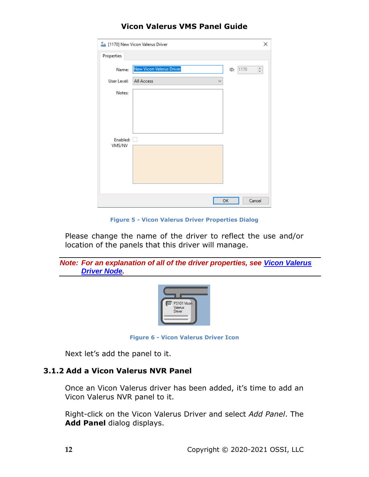|                    | $T_{\rm m}$ [1170] New Vicon Valerus Driver | ×                              |
|--------------------|---------------------------------------------|--------------------------------|
| Properties         |                                             |                                |
| Name:              | New Vicon Valerus Driver                    | $\frac{a}{\pi}$<br>1170<br>ID: |
| User Level:        | All Access<br>୰                             |                                |
| Notes:             |                                             |                                |
| Enabled:<br>VMS/NV | m.                                          |                                |
|                    |                                             |                                |
|                    |                                             | ОK<br>Cancel                   |

**Figure 5 - Vicon Valerus Driver Properties Dialog**

Please change the name of the driver to reflect the use and/or location of the panels that this driver will manage.





**Figure 6 - Vicon Valerus Driver Icon**

Next let's add the panel to it.

#### <span id="page-11-0"></span>**3.1.2 Add a Vicon Valerus NVR Panel**

Once an Vicon Valerus driver has been added, it's time to add an Vicon Valerus NVR panel to it.

Right-click on the Vicon Valerus Driver and select *Add Panel*. The **Add Panel** dialog displays.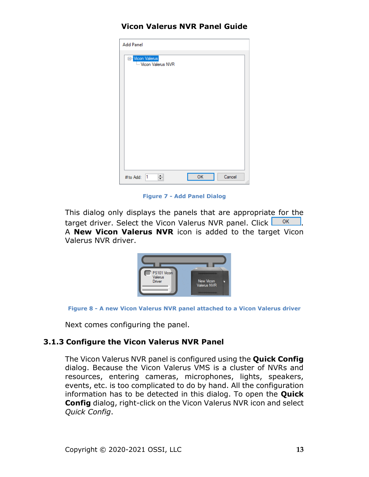| <b>Add Panel</b>                     |           |                        |
|--------------------------------------|-----------|------------------------|
| □ Vicon Valerus<br>Wicon Valerus NVR |           |                        |
| $\div$<br>#to Add: 1                 | <b>OK</b> | Cancel<br>$\mathbb{H}$ |

**Figure 7 - Add Panel Dialog**

This dialog only displays the panels that are appropriate for the target driver. Select the Vicon Valerus NVR panel. Click  $\frac{1}{\sqrt{2}}$  ok  $\frac{1}{\sqrt{2}}$ . A **New Vicon Valerus NVR** icon is added to the target Vicon Valerus NVR driver.





Next comes configuring the panel.

#### <span id="page-12-0"></span>**3.1.3 Configure the Vicon Valerus NVR Panel**

The Vicon Valerus NVR panel is configured using the **Quick Config** dialog. Because the Vicon Valerus VMS is a cluster of NVRs and resources, entering cameras, microphones, lights, speakers, events, etc. is too complicated to do by hand. All the configuration information has to be detected in this dialog. To open the **Quick Config** dialog, right-click on the Vicon Valerus NVR icon and select *Quick Config*.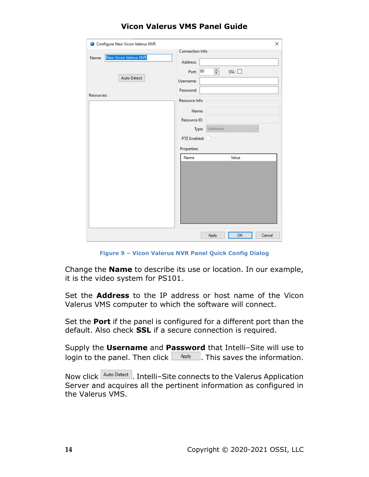| Configure New Vicon Valerus NVR | ×                                            |
|---------------------------------|----------------------------------------------|
|                                 | Connection Info                              |
| New Vicon Valerus NVR<br>Name:  | Address:                                     |
|                                 | ÷<br>80<br>$SSL: \square$<br>Port:           |
| <b>Auto Detect</b>              | Username:                                    |
|                                 | Password:                                    |
| Resources:                      | Resource Info                                |
|                                 | Name:                                        |
|                                 | Resource ID:                                 |
|                                 | Unknown<br>Type:<br>$\overline{\phantom{a}}$ |
|                                 | PTZ Enabled:                                 |
|                                 | <b>Properties:</b>                           |
|                                 | Name<br>Value                                |
|                                 |                                              |
|                                 |                                              |
|                                 |                                              |
|                                 |                                              |
|                                 |                                              |
|                                 |                                              |
|                                 |                                              |
|                                 |                                              |
|                                 | Apply<br>OK<br>Cancel                        |

**Figure 9 – Vicon Valerus NVR Panel Quick Config Dialog**

Change the **Name** to describe its use or location. In our example, it is the video system for PS101.

Set the **Address** to the IP address or host name of the Vicon Valerus VMS computer to which the software will connect.

Set the **Port** if the panel is configured for a different port than the default. Also check **SSL** if a secure connection is required.

Supply the **Username** and **Password** that Intelli-Site will use to login to the panel. Then click  $\Box$  Apply  $\Box$ . This saves the information.

Now click **Auto Detect** . Intelli-Site connects to the Valerus Application Server and acquires all the pertinent information as configured in the Valerus VMS.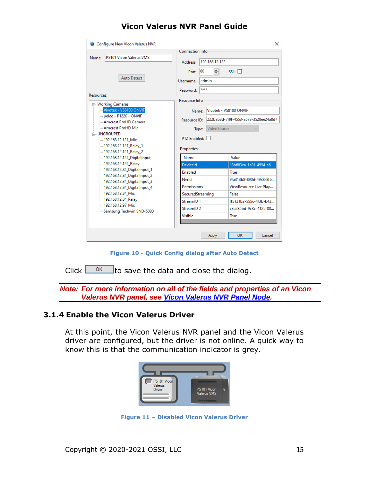| Configure New Vicon Valerus NVR                                        |                                | X                                                   |
|------------------------------------------------------------------------|--------------------------------|-----------------------------------------------------|
| <b>PS101 Vicon Valerus VMS</b><br>Name:                                | <b>Connection Info</b>         |                                                     |
| <b>Auto Detect</b>                                                     | <b>Address:</b><br>80<br>Port: | 192.168.12.122<br>≑<br>$SSL: \Box$                  |
|                                                                        | Username:<br>Password:         | admin<br>****                                       |
| Resources:                                                             | <b>Resource Info</b>           |                                                     |
| □ Working Cameras<br>Vivotek - VS8100 ONVIF<br>- pelco - P1220 - ONVIF | Name:                          | Vivotek - VS8100 ONVIE                              |
| Amcrest ProHD Camera<br>Amcrest ProHD Mic                              | Resource ID:<br>Type:          | 222bab3d-7f9f-4553-a578-3528ee24a8d7<br>VideoSource |
| <b>E. UNGROUPED</b><br>-192.168.12.121 Mic                             | PT7 Fnabled:                   |                                                     |
| -192.168.12.121_Relay_1<br>192.168.12.121_Relay_2                      | Properties:                    |                                                     |
| 192.168.12.124_DigitalInput                                            | Name                           | Value                                               |
| 192.168.12.124_Relay                                                   | <b>Deviceld</b>                | 18b683ca-1a81-4594-a6                               |
| - 192.168.12.84_DigitalInput_1<br>- 192.168.12.84 DigitalInput 2       | <b>Enabled</b>                 | True                                                |
| 192.168.12.84_DigitalInput_3                                           | Nvrld                          | 9fa313b8-890d-4938-8f6                              |
| - 192.168.12.84_DigitalInput_4                                         | Permissions                    | ViewResource Live Play                              |
| 192.168.12.84 Mic                                                      | SecuredStreaming               | False                                               |
| 192.168.12.84_Relay<br>-192.168.12.97 Mic                              | StreamID <sub>1</sub>          | ff5121b2-555c-4f3b-b43                              |
| Samsung Techwin SND-5080                                               | StreamID <sub>2</sub>          | c3a285bd-9c3c-4125-80                               |
|                                                                        | Visible                        | True                                                |
|                                                                        |                                | ОΚ<br>Cancel<br>Apply                               |

**Figure 10 - Quick Config dialog after Auto Detect**

Click  $\frac{OK}{A}$  to save the data and close the dialog.

*Note: For more information on all of the fields and properties of an Vicon Valerus NVR panel, see [Vicon Valerus NVR](#page-22-2) Panel Node.*

#### <span id="page-14-0"></span>**3.1.4 Enable the Vicon Valerus Driver**

At this point, the Vicon Valerus NVR panel and the Vicon Valerus driver are configured, but the driver is not online. A quick way to know this is that the communication indicator is grey.



**Figure 11 – Disabled Vicon Valerus Driver**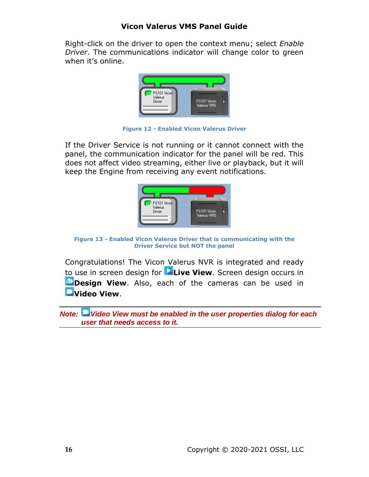Right-click on the driver to open the context menu; select *Enable Driver*. The communications indicator will change color to green when it's online.



**Figure 12 - Enabled Vicon Valerus Driver**

If the Driver Service is not running or it cannot connect with the panel, the communication indicator for the panel will be red. This does not affect video streaming, either live or playback, but it will keep the Engine from receiving any event notifications.



**Figure 13 - Enabled Vicon Valerus Driver that is communicating with the Driver Service but NOT the panel**

Congratulations! The Vicon Valerus NVR is integrated and ready to use in screen design for **Live View**. Screen design occurs in **Design View**. Also, each of the cameras can be used in **Video View**.

*Note: Video View must be enabled in the user properties dialog for each user that needs access to it.*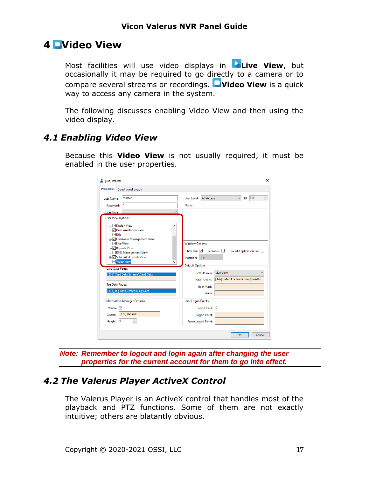## <span id="page-16-0"></span>**4 Video View**

Most facilities will use video displays in **Live View**, but occasionally it may be required to go directly to a camera or to compare several streams or recordings. **Video View** is a quick way to access any camera in the system.

The following discusses enabling Video View and then using the video display.

## <span id="page-16-1"></span>*4.1 Enabling Video View*

Because this **Video View** is not usually required, it must be enabled in the user properties.

| <b>Properties</b>                                                                     | <b>Conditional Logon</b>                                                                                                                                                                 |              |                                                                                     |                                                |                                      |                                                             |        |
|---------------------------------------------------------------------------------------|------------------------------------------------------------------------------------------------------------------------------------------------------------------------------------------|--------------|-------------------------------------------------------------------------------------|------------------------------------------------|--------------------------------------|-------------------------------------------------------------|--------|
| <b>User Name:</b>                                                                     | master                                                                                                                                                                                   |              | User Level:                                                                         | <b>All Access</b>                              |                                      | ID:                                                         | 396    |
| Password:                                                                             |                                                                                                                                                                                          |              | Notes:                                                                              |                                                |                                      |                                                             |        |
| <b>User Type:</b>                                                                     |                                                                                                                                                                                          | $\checkmark$ |                                                                                     |                                                |                                      |                                                             |        |
| <b>User View Options</b>                                                              |                                                                                                                                                                                          |              |                                                                                     |                                                |                                      |                                                             |        |
| <b>E</b> Design View<br>√ Exit<br>MLive View<br>Video View<br><b>Card Data Pages:</b> | √Documentation View<br><b>E</b> - <i>D</i> Hardware Management View<br>Reports View<br><b>E</b> - RFID Management View<br>in √Scheduled Events View<br>[206] Card Data Screens\Card Data | ۸            | <b>Window Options</b><br>Title Bar: $\nabla$<br>Position:<br><b>Default Options</b> | Top<br>Default View:<br><b>Initial Screen:</b> | $Sizeable: \Box$<br><b>Live View</b> | Fixed Application Bar:<br>[326] Default Screen Group\LeadIn |        |
| <b>Tag Data Pages:</b>                                                                |                                                                                                                                                                                          |              |                                                                                     | User Mask:                                     |                                      |                                                             |        |
|                                                                                       | [333] Tag Data Screens\Tag Data                                                                                                                                                          |              |                                                                                     | Voice:                                         |                                      |                                                             |        |
|                                                                                       | <b>Information Manager Options</b>                                                                                                                                                       |              | <b>User Logon Points</b>                                                            |                                                |                                      |                                                             |        |
| Visible: $\nabla$                                                                     |                                                                                                                                                                                          |              |                                                                                     | Logon Card: 0                                  |                                      |                                                             |        |
| Layout:                                                                               | [173] Default                                                                                                                                                                            |              |                                                                                     | <b>Logon Point:</b>                            |                                      |                                                             |        |
| $\overline{0}$<br>Height:                                                             | ÷                                                                                                                                                                                        |              |                                                                                     | <b>Force Logoff Point:</b>                     |                                      |                                                             |        |
|                                                                                       |                                                                                                                                                                                          |              |                                                                                     |                                                |                                      | OK                                                          | Cancel |

*Note: Remember to logout and login again after changing the user properties for the current account for them to go into effect.*

## <span id="page-16-2"></span>*4.2 The Valerus Player ActiveX Control*

The Valerus Player is an ActiveX control that handles most of the playback and PTZ functions. Some of them are not exactly intuitive; others are blatantly obvious.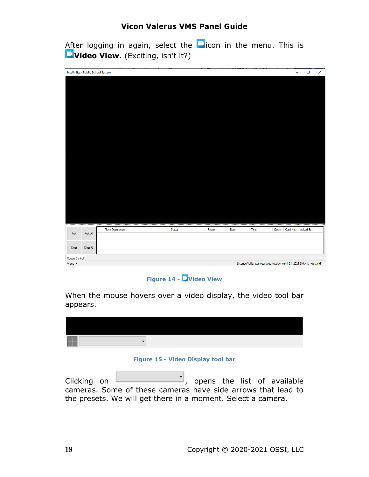After logging in again, select the  $\Box$  icon in the menu. This is **Video View**. (Exciting, isn't it?)

| Intelli-Site - Public School System |                                                                         |                         |        |  |          |      |      |       | $\overline{\phantom{0}}$ | $\Box$   | $\times$ |
|-------------------------------------|-------------------------------------------------------------------------|-------------------------|--------|--|----------|------|------|-------|--------------------------|----------|----------|
|                                     |                                                                         |                         |        |  |          |      |      |       |                          |          |          |
|                                     |                                                                         |                         |        |  |          |      |      |       |                          |          |          |
|                                     |                                                                         |                         |        |  |          |      |      |       |                          |          |          |
|                                     |                                                                         |                         |        |  |          |      |      |       |                          |          |          |
|                                     |                                                                         |                         |        |  |          |      |      |       |                          |          |          |
|                                     |                                                                         |                         |        |  |          |      |      |       |                          |          |          |
|                                     |                                                                         |                         |        |  |          |      |      |       |                          |          |          |
|                                     |                                                                         |                         |        |  |          |      |      |       |                          |          |          |
|                                     |                                                                         |                         |        |  |          |      |      |       |                          |          |          |
|                                     |                                                                         |                         |        |  |          |      |      |       |                          |          |          |
|                                     |                                                                         |                         |        |  |          |      |      |       |                          |          |          |
|                                     |                                                                         |                         |        |  |          |      |      |       |                          |          |          |
|                                     |                                                                         |                         |        |  |          |      |      |       |                          |          |          |
|                                     |                                                                         |                         |        |  |          |      |      |       |                          |          |          |
|                                     |                                                                         |                         |        |  |          |      |      |       |                          |          |          |
|                                     |                                                                         |                         |        |  |          |      |      |       |                          |          |          |
|                                     |                                                                         |                         |        |  |          |      |      |       |                          |          |          |
|                                     |                                                                         | <b>Alam Description</b> | Status |  | Priority | Date | Time | Count | Card No.                 | Acked By |          |
| Ack                                 | Ack All                                                                 |                         |        |  |          |      |      |       |                          |          |          |
|                                     |                                                                         |                         |        |  |          |      |      |       |                          |          |          |
| Clear                               | Clear All                                                               |                         |        |  |          |      |      |       |                          |          |          |
| Queue Control                       |                                                                         |                         |        |  |          |      |      |       |                          |          |          |
| Menu -                              | License Valid, expires: Wednesday, April 21, 2021 SMA is not valid [11] |                         |        |  |          |      |      |       |                          |          |          |

#### **Figure 14 - Video View**

When the mouse hovers over a video display, the video tool bar appears.

#### **Figure 15 - Video Display tool bar**

 $C$ licking on  $\begin{bmatrix} 1 & 1 \\ 1 & 1 \end{bmatrix}$ , opens the list of available cameras. Some of these cameras have side arrows that lead to the presets. We will get there in a moment. Select a camera.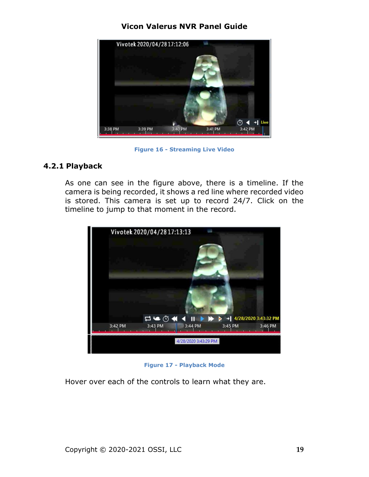

**Figure 16 - Streaming Live Video**

#### <span id="page-18-0"></span>**4.2.1 Playback**

As one can see in the figure above, there is a timeline. If the camera is being recorded, it shows a red line where recorded video is stored. This camera is set up to record 24/7. Click on the timeline to jump to that moment in the record.



**Figure 17 - Playback Mode**

Hover over each of the controls to learn what they are.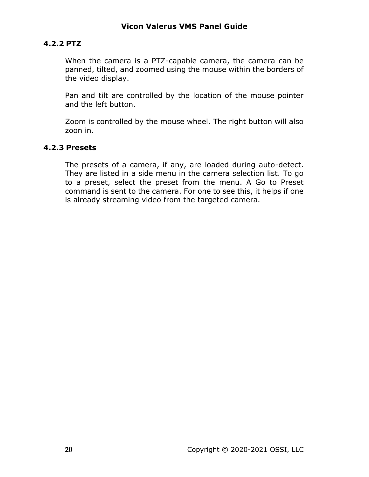#### <span id="page-19-0"></span>**4.2.2 PTZ**

When the camera is a PTZ-capable camera, the camera can be panned, tilted, and zoomed using the mouse within the borders of the video display.

Pan and tilt are controlled by the location of the mouse pointer and the left button.

Zoom is controlled by the mouse wheel. The right button will also zoon in.

#### <span id="page-19-1"></span>**4.2.3 Presets**

The presets of a camera, if any, are loaded during auto-detect. They are listed in a side menu in the camera selection list. To go to a preset, select the preset from the menu. A Go to Preset command is sent to the camera. For one to see this, it helps if one is already streaming video from the targeted camera.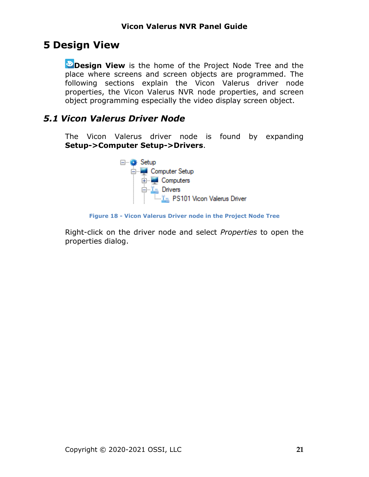# <span id="page-20-0"></span>**5 Design View**

**Design View** is the home of the Project Node Tree and the place where screens and screen objects are programmed. The following sections explain the Vicon Valerus driver node properties, the Vicon Valerus NVR node properties, and screen object programming especially the video display screen object.

## <span id="page-20-2"></span><span id="page-20-1"></span>*5.1 Vicon Valerus Driver Node*

The Vicon Valerus driver node is found by expanding **Setup->Computer Setup->Drivers**.



**Figure 18 - Vicon Valerus Driver node in the Project Node Tree**

Right-click on the driver node and select *Properties* to open the properties dialog.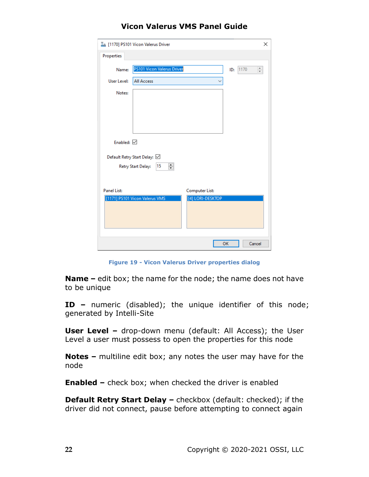|                    | I [1170] PS101 Vicon Valerus Driver |                  | ×                                   |
|--------------------|-------------------------------------|------------------|-------------------------------------|
| Properties         |                                     |                  |                                     |
| Name:              | <b>PS101 Vicon Valerus Driver</b>   |                  | 1170<br>$\frac{1}{\sqrt{2}}$<br>ID: |
| User Level:        | <b>All Access</b>                   |                  |                                     |
| Notes:             |                                     |                  |                                     |
|                    |                                     |                  |                                     |
|                    |                                     |                  |                                     |
| Enabled: $\nabla$  |                                     |                  |                                     |
|                    | Default Retry Start Delay: ☑        |                  |                                     |
|                    | ÷<br>15<br>Retry Start Delay:       |                  |                                     |
|                    |                                     |                  |                                     |
| <b>Panel List:</b> |                                     | Computer List:   |                                     |
|                    | [1171] PS101 Vicon Valerus VMS      | [4] LORI-DESKTOP |                                     |
|                    |                                     |                  | OK<br>Cancel                        |
|                    |                                     |                  |                                     |

**Figure 19 - Vicon Valerus Driver properties dialog**

**Name –** edit box; the name for the node; the name does not have to be unique

**ID –** numeric (disabled); the unique identifier of this node; generated by Intelli-Site

**User Level -** drop-down menu (default: All Access); the User Level a user must possess to open the properties for this node

**Notes –** multiline edit box; any notes the user may have for the node

**Enabled –** check box; when checked the driver is enabled

**Default Retry Start Delay –** checkbox (default: checked); if the driver did not connect, pause before attempting to connect again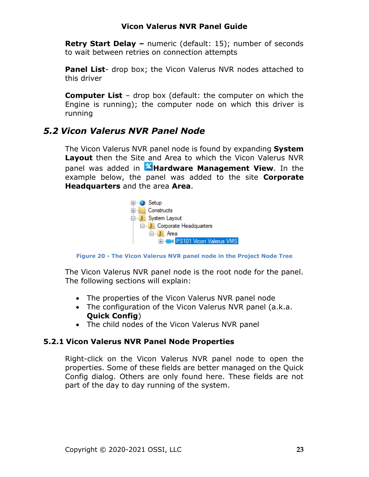**Retry Start Delay –** numeric (default: 15); number of seconds to wait between retries on connection attempts

**Panel List**- drop box; the Vicon Valerus NVR nodes attached to this driver

**Computer List** – drop box (default: the computer on which the Engine is running); the computer node on which this driver is running

## <span id="page-22-2"></span><span id="page-22-0"></span>*5.2 Vicon Valerus NVR Panel Node*

The Vicon Valerus NVR panel node is found by expanding **System Layout** then the Site and Area to which the Vicon Valerus NVR panel was added in **Alendware Management View**. In the example below, the panel was added to the site **Corporate Headquarters** and the area **Area**.



**Figure 20 - The Vicon Valerus NVR panel node in the Project Node Tree**

The Vicon Valerus NVR panel node is the root node for the panel. The following sections will explain:

- The properties of the Vicon Valerus NVR panel node
- The configuration of the Vicon Valerus NVR panel (a.k.a. **Quick Config**)
- The child nodes of the Vicon Valerus NVR panel

#### **5.2.1 Vicon Valerus NVR Panel Node Properties**

<span id="page-22-1"></span>Right-click on the Vicon Valerus NVR panel node to open the properties. Some of these fields are better managed on the Quick Config dialog. Others are only found here. These fields are not part of the day to day running of the system.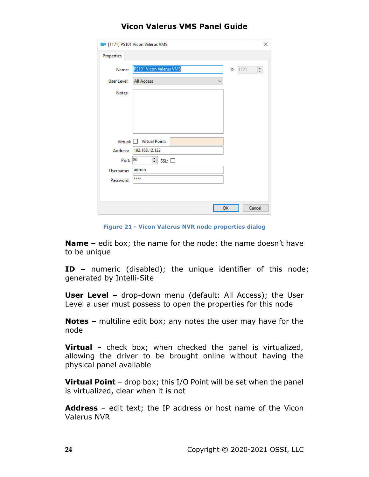|             | 1171] PS101 Vicon Valerus VMS | ×                |
|-------------|-------------------------------|------------------|
| Properties  |                               |                  |
| Name:       | PS101 Vicon Valerus VMS       | ÷<br>1171<br>ID: |
| User Level: | <b>All Access</b><br>∨        |                  |
| Notes:      |                               |                  |
|             |                               |                  |
|             |                               |                  |
|             |                               |                  |
|             |                               |                  |
|             | Virtual: Virtual Point:       |                  |
| Address:    | 192.168.12.122                |                  |
| Port: 80    | $\div$<br>SSL:                |                  |
| Username:   | admin                         |                  |
| Password:   | ****                          |                  |
|             |                               |                  |
|             |                               |                  |
|             | OK                            | Cancel           |

**Figure 21 - Vicon Valerus NVR node properties dialog**

**Name –** edit box; the name for the node; the name doesn't have to be unique

**ID –** numeric (disabled); the unique identifier of this node; generated by Intelli-Site

**User Level –** drop-down menu (default: All Access); the User Level a user must possess to open the properties for this node

**Notes –** multiline edit box; any notes the user may have for the node

**Virtual** – check box; when checked the panel is virtualized, allowing the driver to be brought online without having the physical panel available

**Virtual Point** – drop box; this I/O Point will be set when the panel is virtualized, clear when it is not

**Address** – edit text; the IP address or host name of the Vicon Valerus NVR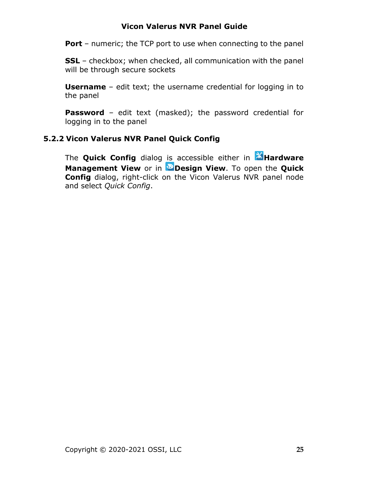**Port** – numeric; the TCP port to use when connecting to the panel

**SSL** – checkbox; when checked, all communication with the panel will be through secure sockets

**Username** – edit text; the username credential for logging in to the panel

**Password** – edit text (masked); the password credential for logging in to the panel

#### **5.2.2 Vicon Valerus NVR Panel Quick Config**

<span id="page-24-0"></span>The **Quick Config** dialog is accessible either in **Alena Alena Management View** or in **Design View**. To open the **Quick Config** dialog, right-click on the Vicon Valerus NVR panel node and select *Quick Config*.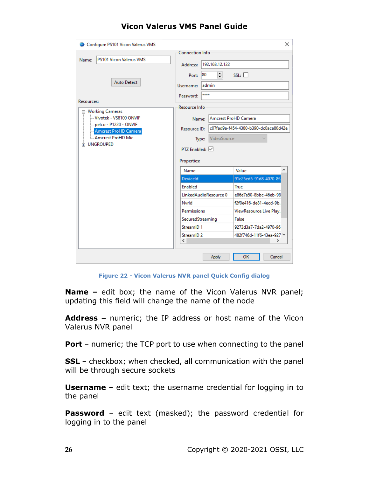| Configure PS101 Vicon Valerus VMS             |                         |                   |                                      | $\times$ |
|-----------------------------------------------|-------------------------|-------------------|--------------------------------------|----------|
|                                               | <b>Connection Info</b>  |                   |                                      |          |
| <b>PS101 Vicon Valerus VMS</b><br>Name:       | Address:                | 192.168.12.122    |                                      |          |
|                                               | 80<br>Port:             | ≑                 | $SSL: \Box$                          |          |
| <b>Auto Detect</b>                            | admin<br>Username:      |                   |                                      |          |
| <b>Resources:</b>                             | ****<br>Password:       |                   |                                      |          |
| Morking Cameras                               | Resource Info           |                   |                                      |          |
| Wivotek - VS8100 ONVIF                        | Name:                   |                   | Amcrest ProHD Camera                 |          |
| pelco - P1220 - ONVIF<br>Amcrest ProHD Camera | Resource ID:            |                   | c07fad9a-f454-4380-b390-dc0aca80d42e |          |
| Amcrest ProHD Mic                             |                         | Type: VideoSource |                                      |          |
| <b>E. UNGROUPED</b>                           | $PTZ$ Enabled: $\nabla$ |                   |                                      |          |
|                                               | <b>Properties:</b>      |                   |                                      |          |
|                                               | Name                    |                   | Value                                |          |
|                                               | <b>Deviceld</b>         |                   | 91e25ed5-91d8-4070-8f.               |          |
|                                               | Enabled                 |                   | True                                 |          |
|                                               | LinkedAudioResource 0   |                   | e86e7a50-8bbc-46eb-98                |          |
|                                               | Nvrld                   |                   | f2f0e416-de81-4ecd-9b.               |          |
|                                               | <b>Permissions</b>      |                   | ViewResource Live Play.              |          |
|                                               | SecuredStreaming        |                   | False                                |          |
|                                               | StreamID <sub>1</sub>   |                   | 9273d3a7-7da2-4970-96                |          |
|                                               | StreamID <sub>2</sub>   |                   | 482f746d-11f6-43ea-927 V             |          |
|                                               | ∢                       |                   |                                      | Y.       |
|                                               |                         | Apply             | ОΚ                                   | Cancel   |

**Figure 22 - Vicon Valerus NVR panel Quick Config dialog**

**Name –** edit box; the name of the Vicon Valerus NVR panel; updating this field will change the name of the node

**Address –** numeric; the IP address or host name of the Vicon Valerus NVR panel

**Port** – numeric; the TCP port to use when connecting to the panel

**SSL** – checkbox; when checked, all communication with the panel will be through secure sockets

**Username** – edit text; the username credential for logging in to the panel

**Password** – edit text (masked); the password credential for logging in to the panel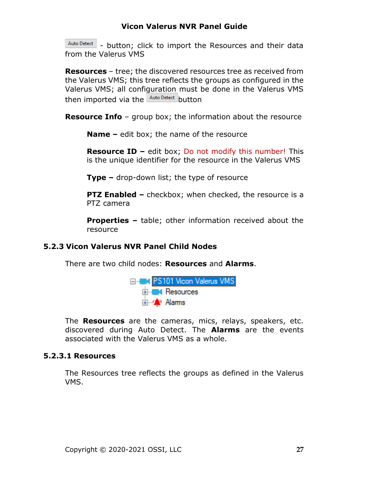Auto Detect - button; click to import the Resources and their data from the Valerus VMS

**Resources** – tree; the discovered resources tree as received from the Valerus VMS; this tree reflects the groups as configured in the Valerus VMS; all configuration must be done in the Valerus VMS then imported via the Auto Detect button

**Resource Info** – group box; the information about the resource

**Name –** edit box; the name of the resource

**Resource ID –** edit box; Do not modify this number! This is the unique identifier for the resource in the Valerus VMS

**Type –** drop-down list; the type of resource

**PTZ Enabled –** checkbox; when checked, the resource is a PTZ camera

**Properties –** table; other information received about the resource

#### **5.2.3 Vicon Valerus NVR Panel Child Nodes**

<span id="page-26-0"></span>There are two child nodes: **Resources** and **Alarms**.



The **Resources** are the cameras, mics, relays, speakers, etc. discovered during Auto Detect. The **Alarms** are the events associated with the Valerus VMS as a whole.

#### **5.2.3.1 Resources**

The Resources tree reflects the groups as defined in the Valerus VMS.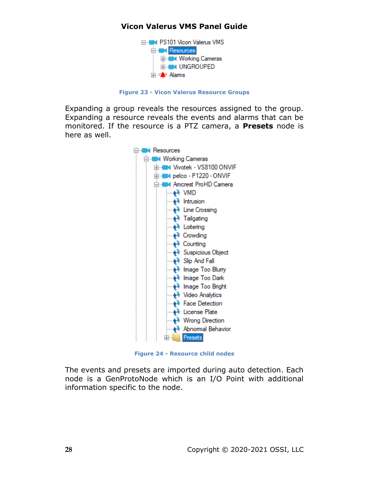

**Figure 23 - Vicon Valerus Resource Groups**

Expanding a group reveals the resources assigned to the group. Expanding a resource reveals the events and alarms that can be monitored. If the resource is a PTZ camera, a **Presets** node is here as well.



**Figure 24 - Resource child nodes**

The events and presets are imported during auto detection. Each node is a GenProtoNode which is an I/O Point with additional information specific to the node.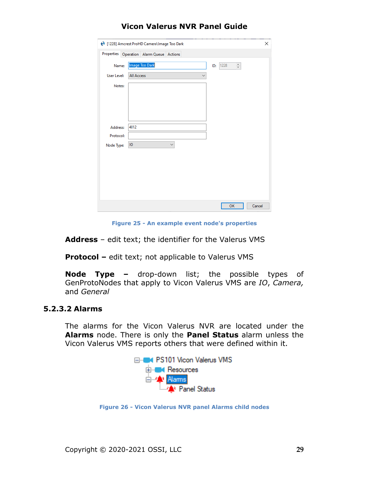|             | 1228] Amcrest ProHD Camera\Image Too Dark         | × |
|-------------|---------------------------------------------------|---|
|             | Properties Operation Alarm Queue Actions          |   |
| Name:       | Image Too Dark<br>$\frac{a}{\tau}$<br>1228<br>ID: |   |
| User Level: | <b>All Access</b><br>$\checkmark$                 |   |
| Notes:      |                                                   |   |
|             |                                                   |   |
|             |                                                   |   |
|             |                                                   |   |
| Address:    | 4012                                              |   |
| Protocol:   |                                                   |   |
| Node Type:  | $\checkmark$<br>IO                                |   |
|             |                                                   |   |
|             |                                                   |   |
|             |                                                   |   |
|             |                                                   |   |
|             |                                                   |   |
|             | OK<br>Cancel                                      |   |

**Figure 25 - An example event node's properties**

**Address** – edit text; the identifier for the Valerus VMS

**Protocol –** edit text; not applicable to Valerus VMS

**Node Type –** drop-down list; the possible types of GenProtoNodes that apply to Vicon Valerus VMS are *IO*, *Camera,*  and *General*

### **5.2.3.2 Alarms**

The alarms for the Vicon Valerus NVR are located under the **Alarms** node. There is only the **Panel Status** alarm unless the Vicon Valerus VMS reports others that were defined within it.



**Figure 26 - Vicon Valerus NVR panel Alarms child nodes**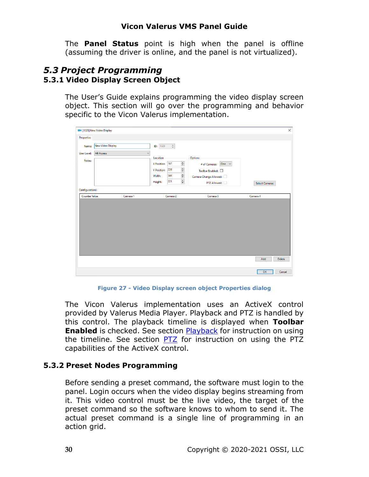The **Panel Status** point is high when the panel is offline (assuming the driver is online, and the panel is not virtualized).

#### <span id="page-29-1"></span><span id="page-29-0"></span>*5.3 Project Programming* **5.3.1 Video Display Screen Object**

The User's Guide explains programming the video display screen object. This section will go over the programming and behavior specific to the Vicon Valerus implementation.

|                        | <b>UM [1323] New Video Display</b> |          |                                          |                                         | X                     |
|------------------------|------------------------------------|----------|------------------------------------------|-----------------------------------------|-----------------------|
| Properties             |                                    |          |                                          |                                         |                       |
| Name:                  | <b>New Video Display</b>           |          | $\frac{a}{\pi}$<br><b>ID:</b> 1323       |                                         |                       |
| <b>User Level:</b>     | <b>All Access</b>                  |          | $\checkmark$                             |                                         |                       |
| Notes:                 |                                    |          | Location<br>$\div$<br>167<br>X Position: | Options<br>One $~\sim$<br># of Cameras: |                       |
|                        |                                    |          | $\div$<br>226<br>Y Position:             | Toolbar Enabled:                        |                       |
|                        |                                    |          | $\div$<br>346<br>Width:                  | Camera Change Allowed:                  |                       |
|                        |                                    |          | $\div$<br>221<br>Height:                 | PTZ Allowed:                            | <b>Select Cameras</b> |
| <b>Configurations:</b> |                                    |          |                                          |                                         |                       |
| <b>Counter Value</b>   |                                    | Camera 1 | Camera 2                                 | Camera 3                                | Camera 4              |
|                        |                                    |          |                                          |                                         |                       |
|                        |                                    |          |                                          |                                         |                       |
|                        |                                    |          |                                          |                                         | Add<br><b>Delete</b>  |

**Figure 27 - Video Display screen object Properties dialog**

The Vicon Valerus implementation uses an ActiveX control provided by Valerus Media Player. Playback and PTZ is handled by this control. The playback timeline is displayed when **Toolbar Enabled** is checked. See section **Playback** for instruction on using the timeline. See section [PTZ](#page-19-0) for instruction on using the PTZ capabilities of the ActiveX control.

#### <span id="page-29-2"></span>**5.3.2 Preset Nodes Programming**

Before sending a preset command, the software must login to the panel. Login occurs when the video display begins streaming from it. This video control must be the live video, the target of the preset command so the software knows to whom to send it. The actual preset command is a single line of programming in an action grid.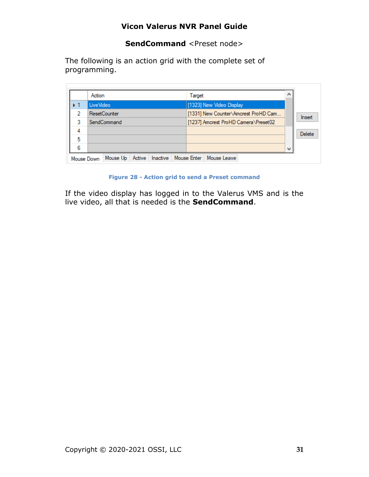**SendCommand** <Preset node>

The following is an action grid with the complete set of programming.

 $\overline{a}$ 

| LiveVideo<br>ResetCounter<br>SendCommand | [1323] New Video Display<br>[1331] New Counter\Amcrest ProHD Cam |                                      |
|------------------------------------------|------------------------------------------------------------------|--------------------------------------|
|                                          |                                                                  |                                      |
|                                          |                                                                  |                                      |
|                                          | [1237] Amcrest ProHD Camera\Preset02                             |                                      |
|                                          |                                                                  |                                      |
|                                          |                                                                  |                                      |
|                                          |                                                                  | ш                                    |
|                                          | Active<br>Mouse Up<br>Mouse Down                                 | Inactive   Mouse Enter   Mouse Leave |

**Figure 28 - Action grid to send a Preset command**

If the video display has logged in to the Valerus VMS and is the live video, all that is needed is the **SendCommand**.